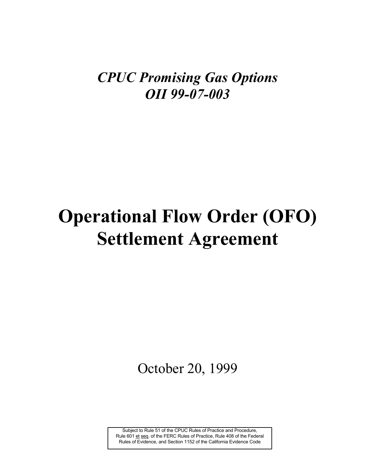# *CPUC Promising Gas Options OII 99-07-003*

# **Operational Flow Order (OFO) Settlement Agreement**

October 20, 1999

Subject to Rule 51 of the CPUC Rules of Practice and Procedure, Rule 601 et seq. of the FERC Rules of Practice, Rule 408 of the Federal Rules of Evidence, and Section 1152 of the California Evidence Code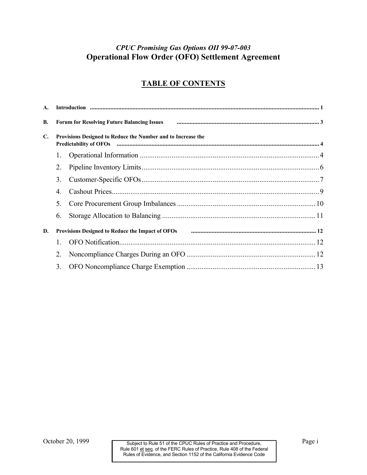### *CPUC Promising Gas Options OII 99-07-003*  **Operational Flow Order (OFO) Settlement Agreement**

## **TABLE OF CONTENTS**

| A.             |                                                                                                                                                                                                                                                                                               |  |  |  |  |
|----------------|-----------------------------------------------------------------------------------------------------------------------------------------------------------------------------------------------------------------------------------------------------------------------------------------------|--|--|--|--|
| <b>B.</b>      | Forum for Resolving Future Balancing Issues <b>For an Elisabeth Contract Contract Contract Contract Contract Contract Contract Contract Contract Contract Contract Contract Contract Contract Contract Contract Contract Contrac</b>                                                          |  |  |  |  |
| $\mathbf{C}$ . | Provisions Designed to Reduce the Number and to Increase the<br>Predictability of OFOs manual content and the content of the content of the content of the content of the content of the content of the content of the content of the content of the content of the content of the content of |  |  |  |  |
|                | 1.                                                                                                                                                                                                                                                                                            |  |  |  |  |
|                | 2.                                                                                                                                                                                                                                                                                            |  |  |  |  |
|                | 3.                                                                                                                                                                                                                                                                                            |  |  |  |  |
|                | 4.                                                                                                                                                                                                                                                                                            |  |  |  |  |
|                | 5.                                                                                                                                                                                                                                                                                            |  |  |  |  |
|                | 6.                                                                                                                                                                                                                                                                                            |  |  |  |  |
| D.             | Provisions Designed to Reduce the Impact of OFOs manufactured contain the control of 2                                                                                                                                                                                                        |  |  |  |  |
|                | $\mathbf{1}$                                                                                                                                                                                                                                                                                  |  |  |  |  |
|                | 2.                                                                                                                                                                                                                                                                                            |  |  |  |  |
|                | 3.                                                                                                                                                                                                                                                                                            |  |  |  |  |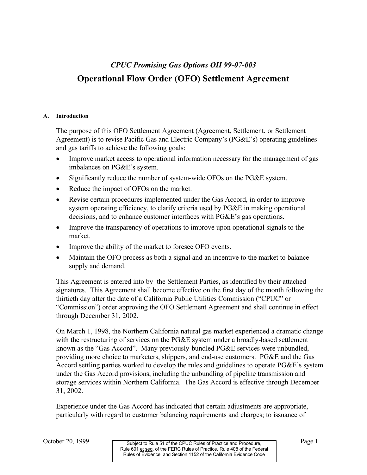# *CPUC Promising Gas Options OII 99-07-003*  **Operational Flow Order (OFO) Settlement Agreement**

#### **A. Introduction**

The purpose of this OFO Settlement Agreement (Agreement, Settlement, or Settlement Agreement) is to revise Pacific Gas and Electric Company's (PG&E's) operating guidelines and gas tariffs to achieve the following goals:

- Improve market access to operational information necessary for the management of gas imbalances on PG&E's system.
- Significantly reduce the number of system-wide OFOs on the PG&E system.
- Reduce the impact of OFOs on the market.
- Revise certain procedures implemented under the Gas Accord, in order to improve system operating efficiency, to clarify criteria used by PG&E in making operational decisions, and to enhance customer interfaces with PG&E's gas operations.
- Improve the transparency of operations to improve upon operational signals to the market.
- Improve the ability of the market to foresee OFO events.
- Maintain the OFO process as both a signal and an incentive to the market to balance supply and demand.

This Agreement is entered into by the Settlement Parties, as identified by their attached signatures. This Agreement shall become effective on the first day of the month following the thirtieth day after the date of a California Public Utilities Commission ("CPUC" or "Commission") order approving the OFO Settlement Agreement and shall continue in effect through December 31, 2002.

On March 1, 1998, the Northern California natural gas market experienced a dramatic change with the restructuring of services on the PG&E system under a broadly-based settlement known as the "Gas Accord". Many previously-bundled PG&E services were unbundled, providing more choice to marketers, shippers, and end-use customers. PG&E and the Gas Accord settling parties worked to develop the rules and guidelines to operate PG&E's system under the Gas Accord provisions, including the unbundling of pipeline transmission and storage services within Northern California. The Gas Accord is effective through December 31, 2002.

Experience under the Gas Accord has indicated that certain adjustments are appropriate, particularly with regard to customer balancing requirements and charges; to issuance of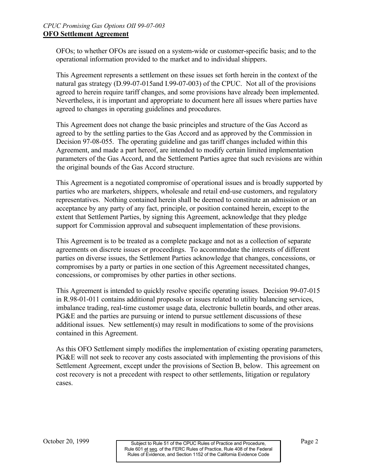OFOs; to whether OFOs are issued on a system-wide or customer-specific basis; and to the operational information provided to the market and to individual shippers.

This Agreement represents a settlement on these issues set forth herein in the context of the natural gas strategy (D.99-07-015and I.99-07-003) of the CPUC. Not all of the provisions agreed to herein require tariff changes, and some provisions have already been implemented. Nevertheless, it is important and appropriate to document here all issues where parties have agreed to changes in operating guidelines and procedures.

This Agreement does not change the basic principles and structure of the Gas Accord as agreed to by the settling parties to the Gas Accord and as approved by the Commission in Decision 97-08-055. The operating guideline and gas tariff changes included within this Agreement, and made a part hereof, are intended to modify certain limited implementation parameters of the Gas Accord, and the Settlement Parties agree that such revisions are within the original bounds of the Gas Accord structure.

This Agreement is a negotiated compromise of operational issues and is broadly supported by parties who are marketers, shippers, wholesale and retail end-use customers, and regulatory representatives. Nothing contained herein shall be deemed to constitute an admission or an acceptance by any party of any fact, principle, or position contained herein, except to the extent that Settlement Parties, by signing this Agreement, acknowledge that they pledge support for Commission approval and subsequent implementation of these provisions.

This Agreement is to be treated as a complete package and not as a collection of separate agreements on discrete issues or proceedings. To accommodate the interests of different parties on diverse issues, the Settlement Parties acknowledge that changes, concessions, or compromises by a party or parties in one section of this Agreement necessitated changes, concessions, or compromises by other parties in other sections.

This Agreement is intended to quickly resolve specific operating issues. Decision 99-07-015 in R.98-01-011 contains additional proposals or issues related to utility balancing services, imbalance trading, real-time customer usage data, electronic bulletin boards, and other areas. PG&E and the parties are pursuing or intend to pursue settlement discussions of these additional issues. New settlement(s) may result in modifications to some of the provisions contained in this Agreement.

As this OFO Settlement simply modifies the implementation of existing operating parameters, PG&E will not seek to recover any costs associated with implementing the provisions of this Settlement Agreement, except under the provisions of Section B, below. This agreement on cost recovery is not a precedent with respect to other settlements, litigation or regulatory cases.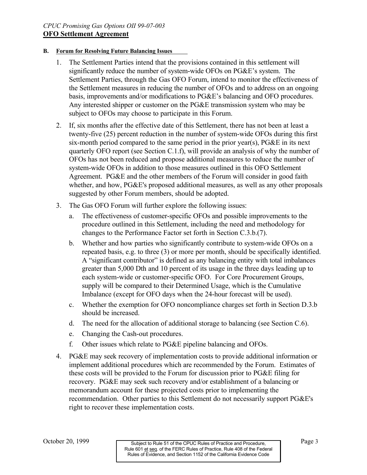#### **B. Forum for Resolving Future Balancing Issues**

- 1. The Settlement Parties intend that the provisions contained in this settlement will significantly reduce the number of system-wide OFOs on PG&E's system. The Settlement Parties, through the Gas OFO Forum, intend to monitor the effectiveness of the Settlement measures in reducing the number of OFOs and to address on an ongoing basis, improvements and/or modifications to PG&E's balancing and OFO procedures. Any interested shipper or customer on the PG&E transmission system who may be subject to OFOs may choose to participate in this Forum.
- 2. If, six months after the effective date of this Settlement, there has not been at least a twenty-five (25) percent reduction in the number of system-wide OFOs during this first six-month period compared to the same period in the prior year(s),  $PG\&E$  in its next quarterly OFO report (see Section C.1.f), will provide an analysis of why the number of OFOs has not been reduced and propose additional measures to reduce the number of system-wide OFOs in addition to those measures outlined in this OFO Settlement Agreement. PG&E and the other members of the Forum will consider in good faith whether, and how, PG&E's proposed additional measures, as well as any other proposals suggested by other Forum members, should be adopted.
- 3. The Gas OFO Forum will further explore the following issues:
	- a. The effectiveness of customer-specific OFOs and possible improvements to the procedure outlined in this Settlement, including the need and methodology for changes to the Performance Factor set forth in Section C.3.b.(7).
	- b. Whether and how parties who significantly contribute to system-wide OFOs on a repeated basis, e.g. to three (3) or more per month, should be specifically identified. A "significant contributor" is defined as any balancing entity with total imbalances greater than 5,000 Dth and 10 percent of its usage in the three days leading up to each system-wide or customer-specific OFO. For Core Procurement Groups, supply will be compared to their Determined Usage, which is the Cumulative Imbalance (except for OFO days when the 24-hour forecast will be used).
	- c. Whether the exemption for OFO noncompliance charges set forth in Section D.3.b should be increased.
	- d. The need for the allocation of additional storage to balancing (see Section  $C.6$ ).
	- e. Changing the Cash-out procedures.
	- f. Other issues which relate to  $P G \& E$  pipeline balancing and OFOs.
- 4. PG&E may seek recovery of implementation costs to provide additional information or implement additional procedures which are recommended by the Forum. Estimates of these costs will be provided to the Forum for discussion prior to PG&E filing for recovery. PG&E may seek such recovery and/or establishment of a balancing or memorandum account for these projected costs prior to implementing the recommendation. Other parties to this Settlement do not necessarily support PG&E's right to recover these implementation costs.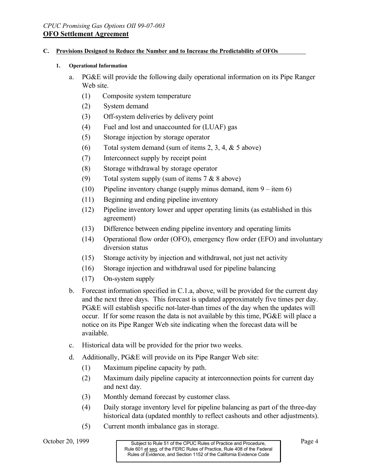#### **C. Provisions Designed to Reduce the Number and to Increase the Predictability of OFOs**

#### **1. Operational Information**

- a. PG&E will provide the following daily operational information on its Pipe Ranger Web site.
	- (1) Composite system temperature
	- (2) System demand
	- (3) Off-system deliveries by delivery point
	- (4) Fuel and lost and unaccounted for (LUAF) gas
	- (5) Storage injection by storage operator
	- (6) Total system demand (sum of items 2, 3, 4,  $&$  5 above)
	- (7) Interconnect supply by receipt point
	- (8) Storage withdrawal by storage operator
	- (9) Total system supply (sum of items  $7 & 8 & 8$  above)
	- (10) Pipeline inventory change (supply minus demand, item  $9 -$  item 6)
	- (11) Beginning and ending pipeline inventory
	- (12) Pipeline inventory lower and upper operating limits (as established in this agreement)
	- (13) Difference between ending pipeline inventory and operating limits
	- (14) Operational flow order (OFO), emergency flow order (EFO) and involuntary diversion status
	- $(15)$  Storage activity by injection and withdrawal, not just net activity
	- (16) Storage injection and withdrawal used for pipeline balancing
	- (17) On-system supply
- b. Forecast information specified in  $C<sub>1</sub>$ , a above, will be provided for the current day and the next three days. This forecast is updated approximately five times per day. PG&E will establish specific not-later-than times of the day when the updates will occur. If for some reason the data is not available by this time, PG&E will place a notice on its Pipe Ranger Web site indicating when the forecast data will be available.
- c. Historical data will be provided for the prior two weeks.
- d. Additionally, PG&E will provide on its Pipe Ranger Web site:
	- (1) Maximum pipeline capacity by path.
	- (2) Maximum daily pipeline capacity at interconnection points for current day and next day.
	- (3) Monthly demand forecast by customer class.
	- (4) Daily storage inventory level for pipeline balancing as part of the three-day historical data (updated monthly to reflect cashouts and other adjustments).
	- (5) Current month imbalance gas in storage.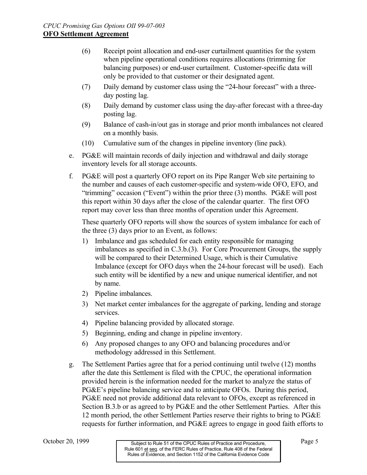- (6) Receipt point allocation and end-user curtailment quantities for the system when pipeline operational conditions requires allocations (trimming for balancing purposes) or end-user curtailment. Customer-specific data will only be provided to that customer or their designated agent.
- (7) Daily demand by customer class using the "24-hour forecast" with a threeday posting lag.
- (8) Daily demand by customer class using the day-after forecast with a three-day posting lag.
- (9) Balance of cash-in/out gas in storage and prior month imbalances not cleared on a monthly basis.
- (10) Cumulative sum of the changes in pipeline inventory (line pack).
- e. PG&E will maintain records of daily injection and withdrawal and daily storage inventory levels for all storage accounts.
- f. PG&E will post a quarterly OFO report on its Pipe Ranger Web site pertaining to the number and causes of each customer-specific and system-wide OFO, EFO, and "trimming" occasion ("Event") within the prior three (3) months. PG&E will post this report within 30 days after the close of the calendar quarter. The first OFO report may cover less than three months of operation under this Agreement.

These quarterly OFO reports will show the sources of system imbalance for each of the three (3) days prior to an Event, as follows:

- 1) Imbalance and gas scheduled for each entity responsible for managing imbalances as specified in C.3.b.(3). For Core Procurement Groups, the supply will be compared to their Determined Usage, which is their Cumulative Imbalance (except for OFO days when the 24-hour forecast will be used). Each such entity will be identified by a new and unique numerical identifier, and not by name.
- 2) Pipeline imbalances.
- 3) Net market center imbalances for the aggregate of parking, lending and storage services.
- 4) Pipeline balancing provided by allocated storage.
- 5) Beginning, ending and change in pipeline inventory.
- 6) Any proposed changes to any OFO and balancing procedures and/or methodology addressed in this Settlement.
- g. The Settlement Parties agree that for a period continuing until twelve (12) months after the date this Settlement is filed with the CPUC, the operational information provided herein is the information needed for the market to analyze the status of PG&E's pipeline balancing service and to anticipate OFOs. During this period, PG&E need not provide additional data relevant to OFOs, except as referenced in Section B.3.b or as agreed to by PG&E and the other Settlement Parties. After this 12 month period, the other Settlement Parties reserve their rights to bring to PG&E requests for further information, and PG&E agrees to engage in good faith efforts to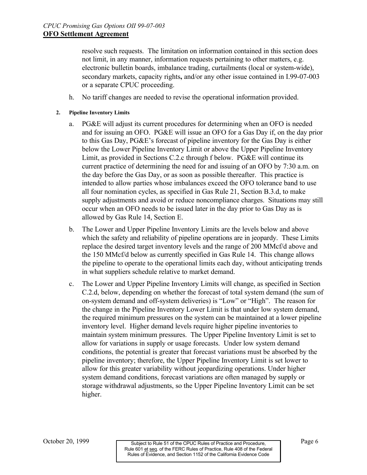resolve such requests. The limitation on information contained in this section does not limit, in any manner, information requests pertaining to other matters, e.g. electronic bulletin boards, imbalance trading, curtailments (local or system-wide), secondary markets, capacity rights**,** and/or any other issue contained in I.99-07-003 or a separate CPUC proceeding.

h. No tariff changes are needed to revise the operational information provided.

#### **2. Pipeline Inventory Limits**

- a. PG&E will adjust its current procedures for determining when an OFO is needed and for issuing an OFO. PG&E will issue an OFO for a Gas Day if, on the day prior to this Gas Day, PG&E's forecast of pipeline inventory for the Gas Day is either below the Lower Pipeline Inventory Limit or above the Upper Pipeline Inventory Limit, as provided in Sections C.2.c through f below. PG&E will continue its current practice of determining the need for and issuing of an OFO by 7:30 a.m. on the day before the Gas Day, or as soon as possible thereafter. This practice is intended to allow parties whose imbalances exceed the OFO tolerance band to use all four nomination cycles, as specified in Gas Rule 21, Section B.3.d, to make supply adjustments and avoid or reduce noncompliance charges. Situations may still occur when an OFO needs to be issued later in the day prior to Gas Day as is allowed by Gas Rule 14, Section E.
- b. The Lower and Upper Pipeline Inventory Limits are the levels below and above which the safety and reliability of pipeline operations are in jeopardy. These Limits replace the desired target inventory levels and the range of 200 MMcf/d above and the 150 MMcf/d below as currently specified in Gas Rule 14. This change allows the pipeline to operate to the operational limits each day, without anticipating trends in what suppliers schedule relative to market demand.
- c. The Lower and Upper Pipeline Inventory Limits will change, as specified in Section C.2.d, below, depending on whether the forecast of total system demand (the sum of on-system demand and off-system deliveries) is "Low" or "High". The reason for the change in the Pipeline Inventory Lower Limit is that under low system demand, the required minimum pressures on the system can be maintained at a lower pipeline inventory level. Higher demand levels require higher pipeline inventories to maintain system minimum pressures. The Upper Pipeline Inventory Limit is set to allow for variations in supply or usage forecasts. Under low system demand conditions, the potential is greater that forecast variations must be absorbed by the pipeline inventory; therefore, the Upper Pipeline Inventory Limit is set lower to allow for this greater variability without jeopardizing operations. Under higher system demand conditions, forecast variations are often managed by supply or storage withdrawal adjustments, so the Upper Pipeline Inventory Limit can be set higher.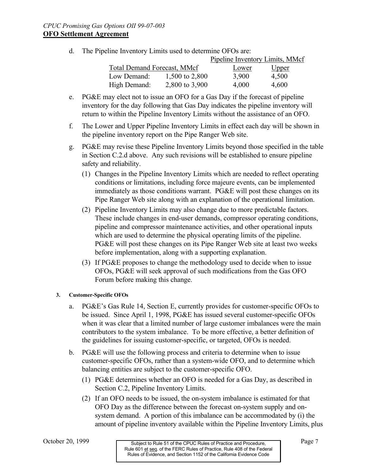d. The Pipeline Inventory Limits used to determine OFOs are:

|                                    |                | <b>Pipeline Inventory Limits, MMcf</b> |              |
|------------------------------------|----------------|----------------------------------------|--------------|
| <b>Total Demand Forecast, MMcf</b> |                | Lower                                  | <u>Upper</u> |
| Low Demand:                        | 1,500 to 2,800 | 3,900                                  | 4,500        |
| High Demand:                       | 2,800 to 3,900 | 4,000                                  | 4,600        |

- e. PG&E may elect not to issue an OFO for a Gas Day if the forecast of pipeline inventory for the day following that Gas Day indicates the pipeline inventory will return to within the Pipeline Inventory Limits without the assistance of an OFO.
- f. The Lower and Upper Pipeline Inventory Limits in effect each day will be shown in the pipeline inventory report on the Pipe Ranger Web site.
- g. PG&E may revise these Pipeline Inventory Limits beyond those specified in the table in Section C.2.d above. Any such revisions will be established to ensure pipeline safety and reliability.
	- (1) Changes in the Pipeline Inventory Limits which are needed to reflect operating conditions or limitations, including force majeure events, can be implemented immediately as those conditions warrant. PG&E will post these changes on its Pipe Ranger Web site along with an explanation of the operational limitation.
	- (2) Pipeline Inventory Limits may also change due to more predictable factors. These include changes in end-user demands, compressor operating conditions, pipeline and compressor maintenance activities, and other operational inputs which are used to determine the physical operating limits of the pipeline. PG&E will post these changes on its Pipe Ranger Web site at least two weeks before implementation, along with a supporting explanation.
	- (3) If PG&E proposes to change the methodology used to decide when to issue OFOs, PG&E will seek approval of such modifications from the Gas OFO Forum before making this change.

#### **3. Customer-Specific OFOs**

- a. PG&E's Gas Rule 14, Section E, currently provides for customer-specific OFOs to be issued. Since April 1, 1998, PG&E has issued several customer-specific OFOs when it was clear that a limited number of large customer imbalances were the main contributors to the system imbalance. To be more effective, a better definition of the guidelines for issuing customer-specific, or targeted, OFOs is needed.
- b.  $P G \& E$  will use the following process and criteria to determine when to issue customer-specific OFOs, rather than a system-wide OFO, and to determine which balancing entities are subject to the customer-specific OFO.
	- (1) PG&E determines whether an OFO is needed for a Gas Day, as described in Section C.2, Pipeline Inventory Limits.
	- (2) If an OFO needs to be issued, the on-system imbalance is estimated for that OFO Day as the difference between the forecast on-system supply and onsystem demand. A portion of this imbalance can be accommodated by (i) the amount of pipeline inventory available within the Pipeline Inventory Limits, plus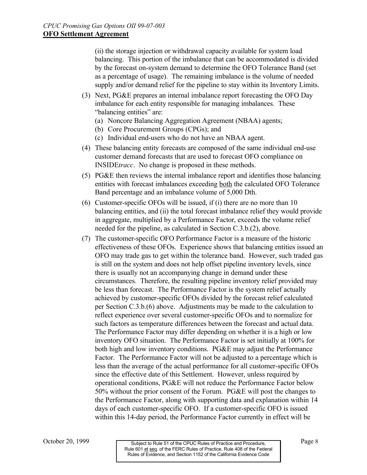(ii) the storage injection or withdrawal capacity available for system load balancing. This portion of the imbalance that can be accommodated is divided by the forecast on-system demand to determine the OFO Tolerance Band (set as a percentage of usage). The remaining imbalance is the volume of needed supply and/or demand relief for the pipeline to stay within its Inventory Limits.

- (3) Next, PG&E prepares an internal imbalance report forecasting the OFO Day imbalance for each entity responsible for managing imbalances. These "balancing entities" are:
	- (a) Noncore Balancing Aggregation Agreement (NBAA) agents;
	- (b) Core Procurement Groups (CPGs); and
	- (c) Individual end-users who do not have an NBAA agent.
- (4) These balancing entity forecasts are composed of the same individual end-use customer demand forecasts that are used to forecast OFO compliance on INSIDE*tracc*. No change is proposed in these methods.
- $(5)$  PG&E then reviews the internal imbalance report and identifies those balancing entities with forecast imbalances exceeding both the calculated OFO Tolerance Band percentage and an imbalance volume of 5,000 Dth.
- (6) Customer-specific OFOs will be issued, if (i) there are no more than 10 balancing entities, and (ii) the total forecast imbalance relief they would provide in aggregate, multiplied by a Performance Factor, exceeds the volume relief needed for the pipeline, as calculated in Section C.3.b.(2), above.
- (7) The customer-specific OFO Performance Factor is a measure of the historic effectiveness of these OFOs. Experience shows that balancing entities issued an OFO may trade gas to get within the tolerance band. However, such traded gas is still on the system and does not help offset pipeline inventory levels, since there is usually not an accompanying change in demand under these circumstances. Therefore, the resulting pipeline inventory relief provided may be less than forecast. The Performance Factor is the system relief actually achieved by customer-specific OFOs divided by the forecast relief calculated per Section C.3.b.(6) above. Adjustments may be made to the calculation to reflect experience over several customer-specific OFOs and to normalize for such factors as temperature differences between the forecast and actual data. The Performance Factor may differ depending on whether it is a high or low inventory OFO situation. The Performance Factor is set initially at 100% for both high and low inventory conditions. PG&E may adjust the Performance Factor. The Performance Factor will not be adjusted to a percentage which is less than the average of the actual performance for all customer-specific OFOs since the effective date of this Settlement. However, unless required by operational conditions, PG&E will not reduce the Performance Factor below 50% without the prior consent of the Forum. PG&E will post the changes to the Performance Factor, along with supporting data and explanation within 14 days of each customer-specific OFO. If a customer-specific OFO is issued within this 14-day period, the Performance Factor currently in effect will be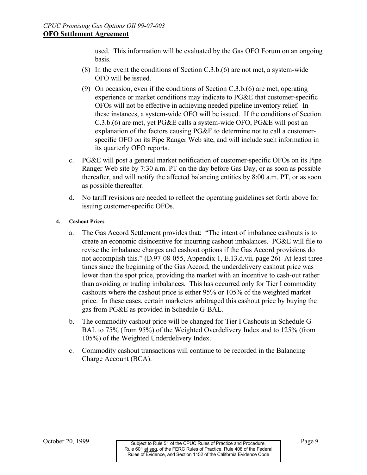used. This information will be evaluated by the Gas OFO Forum on an ongoing basis.

- (8) In the event the conditions of Section C.3.b.(6) are not met, a system-wide OFO will be issued.
- (9) On occasion, even if the conditions of Section C.3.b.(6) are met, operating experience or market conditions may indicate to PG&E that customer-specific OFOs will not be effective in achieving needed pipeline inventory relief. In these instances, a system-wide OFO will be issued. If the conditions of Section C.3.b.(6) are met, yet PG&E calls a system-wide OFO, PG&E will post an explanation of the factors causing PG&E to determine not to call a customerspecific OFO on its Pipe Ranger Web site, and will include such information in its quarterly OFO reports.
- c. PG&E will post a general market notification of customer-specific OFOs on its Pipe Ranger Web site by 7:30 a.m. PT on the day before Gas Day, or as soon as possible thereafter, and will notify the affected balancing entities by 8:00 a.m. PT, or as soon as possible thereafter.
- d. No tariff revisions are needed to reflect the operating guidelines set forth above for issuing customer-specific OFOs.

#### **4. Cashout Prices**

- a. The Gas Accord Settlement provides that: "The intent of imbalance cashouts is to create an economic disincentive for incurring cashout imbalances. PG&E will file to revise the imbalance charges and cashout options if the Gas Accord provisions do not accomplish this." (D.97-08-055, Appendix 1, E.13.d.vii, page 26) At least three times since the beginning of the Gas Accord, the underdelivery cashout price was lower than the spot price, providing the market with an incentive to cash-out rather than avoiding or trading imbalances. This has occurred only for Tier I commodity cashouts where the cashout price is either 95% or 105% of the weighted market price. In these cases, certain marketers arbitraged this cashout price by buying the gas from PG&E as provided in Schedule G-BAL.
- b. The commodity cashout price will be changed for Tier I Cashouts in Schedule G-BAL to 75% (from 95%) of the Weighted Overdelivery Index and to 125% (from 105%) of the Weighted Underdelivery Index.
- c. Commodity cashout transactions will continue to be recorded in the Balancing Charge Account (BCA).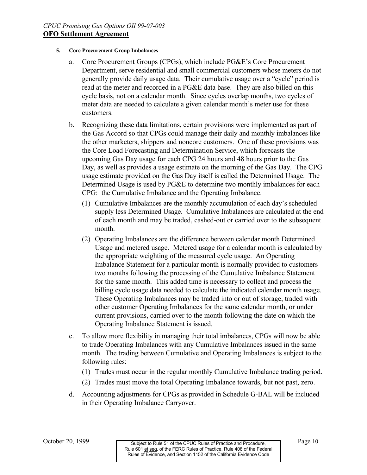#### **5. Core Procurement Group Imbalances**

- a. Core Procurement Groups (CPGs), which include PG&E's Core Procurement Department, serve residential and small commercial customers whose meters do not generally provide daily usage data. Their cumulative usage over a "cycle" period is read at the meter and recorded in a PG&E data base. They are also billed on this cycle basis, not on a calendar month. Since cycles overlap months, two cycles of meter data are needed to calculate a given calendar month's meter use for these customers.
- b. Recognizing these data limitations, certain provisions were implemented as part of the Gas Accord so that CPGs could manage their daily and monthly imbalances like the other marketers, shippers and noncore customers. One of these provisions was the Core Load Forecasting and Determination Service, which forecasts the upcoming Gas Day usage for each CPG 24 hours and 48 hours prior to the Gas Day, as well as provides a usage estimate on the morning of the Gas Day. The CPG usage estimate provided on the Gas Day itself is called the Determined Usage. The Determined Usage is used by PG&E to determine two monthly imbalances for each CPG: the Cumulative Imbalance and the Operating Imbalance.
	- (1) Cumulative Imbalances are the monthly accumulation of each day's scheduled supply less Determined Usage. Cumulative Imbalances are calculated at the end of each month and may be traded, cashed-out or carried over to the subsequent month.
	- (2) Operating Imbalances are the difference between calendar month Determined Usage and metered usage. Metered usage for a calendar month is calculated by the appropriate weighting of the measured cycle usage. An Operating Imbalance Statement for a particular month is normally provided to customers two months following the processing of the Cumulative Imbalance Statement for the same month. This added time is necessary to collect and process the billing cycle usage data needed to calculate the indicated calendar month usage. These Operating Imbalances may be traded into or out of storage, traded with other customer Operating Imbalances for the same calendar month, or under current provisions, carried over to the month following the date on which the Operating Imbalance Statement is issued.
- c. To allow more flexibility in managing their total imbalances, CPGs will now be able to trade Operating Imbalances with any Cumulative Imbalances issued in the same month. The trading between Cumulative and Operating Imbalances is subject to the following rules:
	- (1) Trades must occur in the regular monthly Cumulative Imbalance trading period.
	- (2) Trades must move the total Operating Imbalance towards, but not past, zero.
- d. Accounting adjustments for CPGs as provided in Schedule G-BAL will be included in their Operating Imbalance Carryover.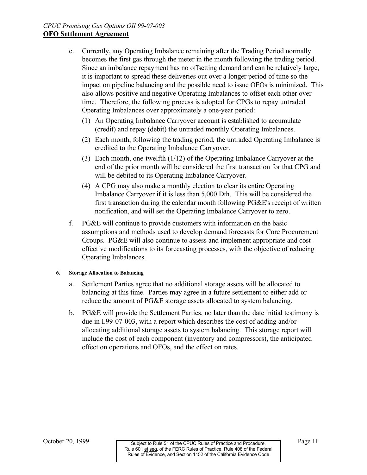- e. Currently, any Operating Imbalance remaining after the Trading Period normally becomes the first gas through the meter in the month following the trading period. Since an imbalance repayment has no offsetting demand and can be relatively large, it is important to spread these deliveries out over a longer period of time so the impact on pipeline balancing and the possible need to issue OFOs is minimized. This also allows positive and negative Operating Imbalances to offset each other over time. Therefore, the following process is adopted for CPGs to repay untraded Operating Imbalances over approximately a one-year period:
	- (1) An Operating Imbalance Carryover account is established to accumulate (credit) and repay (debit) the untraded monthly Operating Imbalances.
	- (2) Each month, following the trading period, the untraded Operating Imbalance is credited to the Operating Imbalance Carryover.
	- (3) Each month, one-twelfth (1/12) of the Operating Imbalance Carryover at the end of the prior month will be considered the first transaction for that CPG and will be debited to its Operating Imbalance Carryover.
	- (4) A CPG may also make a monthly election to clear its entire Operating Imbalance Carryover if it is less than 5,000 Dth. This will be considered the first transaction during the calendar month following PG&E's receipt of written notification, and will set the Operating Imbalance Carryover to zero.
- f.  $PG&E$  will continue to provide customers with information on the basic assumptions and methods used to develop demand forecasts for Core Procurement Groups. PG&E will also continue to assess and implement appropriate and costeffective modifications to its forecasting processes, with the objective of reducing Operating Imbalances.

#### **6. Storage Allocation to Balancing**

- a. Settlement Parties agree that no additional storage assets will be allocated to balancing at this time. Parties may agree in a future settlement to either add or reduce the amount of PG&E storage assets allocated to system balancing.
- b. PG&E will provide the Settlement Parties, no later than the date initial testimony is due in I.99-07-003, with a report which describes the cost of adding and/or allocating additional storage assets to system balancing. This storage report will include the cost of each component (inventory and compressors), the anticipated effect on operations and OFOs, and the effect on rates.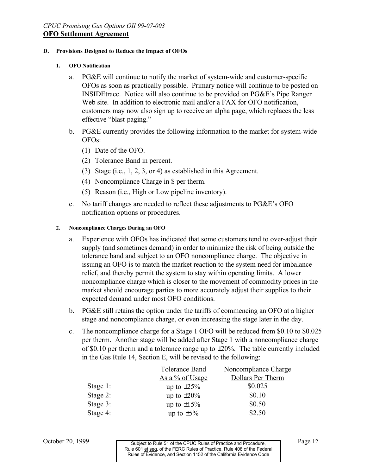#### **D. Provisions Designed to Reduce the Impact of OFOs**

#### **1. OFO Notification**

- a. PG&E will continue to notify the market of system-wide and customer-specific OFOs as soon as practically possible. Primary notice will continue to be posted on INSIDEtracc. Notice will also continue to be provided on PG&E's Pipe Ranger Web site. In addition to electronic mail and/or a FAX for OFO notification, customers may now also sign up to receive an alpha page, which replaces the less effective "blast-paging."
- b. PG&E currently provides the following information to the market for system-wide OFOs:
	- (1) Date of the OFO.
	- (2) Tolerance Band in percent.
	- (3) Stage (i.e., 1, 2, 3, or 4) as established in this Agreement.
	- (4) Noncompliance Charge in \$ per therm.
	- (5) Reason (i.e., High or Low pipeline inventory).
- c. No tariff changes are needed to reflect these adjustments to PG&E's OFO notification options or procedures.

#### **2. Noncompliance Charges During an OFO**

- a. Experience with OFOs has indicated that some customers tend to over-adjust their supply (and sometimes demand) in order to minimize the risk of being outside the tolerance band and subject to an OFO noncompliance charge. The objective in issuing an OFO is to match the market reaction to the system need for imbalance relief, and thereby permit the system to stay within operating limits. A lower noncompliance charge which is closer to the movement of commodity prices in the market should encourage parties to more accurately adjust their supplies to their expected demand under most OFO conditions.
- b. PG&E still retains the option under the tariffs of commencing an OFO at a higher stage and noncompliance charge, or even increasing the stage later in the day.
- c. The noncompliance charge for a Stage 1 OFO will be reduced from \$0.10 to \$0.025 per therm. Another stage will be added after Stage 1 with a noncompliance charge of \$0.10 per therm and a tolerance range up to  $\pm 20\%$ . The table currently included in the Gas Rule 14, Section E, will be revised to the following:

|             | Tolerance Band   | Noncompliance Charge |
|-------------|------------------|----------------------|
|             | As a % of Usage  | Dollars Per Therm    |
| Stage $1$ : | up to $\pm 25\%$ | \$0.025              |
| Stage $2$ : | up to $\pm 20\%$ | \$0.10               |
| Stage 3:    | up to $\pm 15\%$ | \$0.50               |
| Stage 4:    | up to $\pm 5\%$  | \$2.50               |